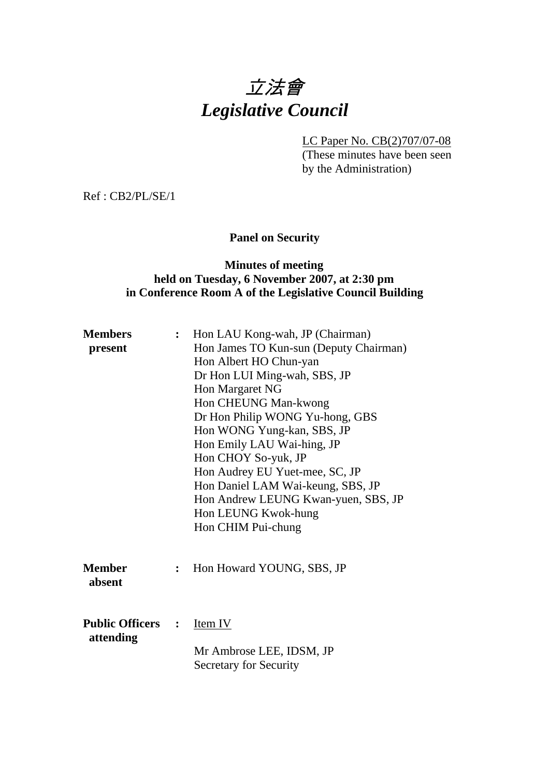

LC Paper No. CB(2)707/07-08

(These minutes have been seen by the Administration)

Ref : CB2/PL/SE/1

## **Panel on Security**

### **Minutes of meeting held on Tuesday, 6 November 2007, at 2:30 pm in Conference Room A of the Legislative Council Building**

| <b>Members</b>           | $\ddot{\cdot}$ | Hon LAU Kong-wah, JP (Chairman)        |
|--------------------------|----------------|----------------------------------------|
| present                  |                | Hon James TO Kun-sun (Deputy Chairman) |
|                          |                | Hon Albert HO Chun-yan                 |
|                          |                | Dr Hon LUI Ming-wah, SBS, JP           |
|                          |                | Hon Margaret NG                        |
|                          |                | Hon CHEUNG Man-kwong                   |
|                          |                | Dr Hon Philip WONG Yu-hong, GBS        |
|                          |                | Hon WONG Yung-kan, SBS, JP             |
|                          |                | Hon Emily LAU Wai-hing, JP             |
|                          |                | Hon CHOY So-yuk, JP                    |
|                          |                | Hon Audrey EU Yuet-mee, SC, JP         |
|                          |                | Hon Daniel LAM Wai-keung, SBS, JP      |
|                          |                | Hon Andrew LEUNG Kwan-yuen, SBS, JP    |
|                          |                | Hon LEUNG Kwok-hung                    |
|                          |                | Hon CHIM Pui-chung                     |
|                          |                |                                        |
|                          |                |                                        |
| <b>Member</b>            | $\ddot{\cdot}$ | Hon Howard YOUNG, SBS, JP              |
| absent                   |                |                                        |
|                          |                |                                        |
|                          |                |                                        |
| <b>Public Officers :</b> |                | Item IV                                |
| attending                |                |                                        |
|                          |                | Mr Ambrose LEE, IDSM, JP               |
|                          |                | <b>Secretary for Security</b>          |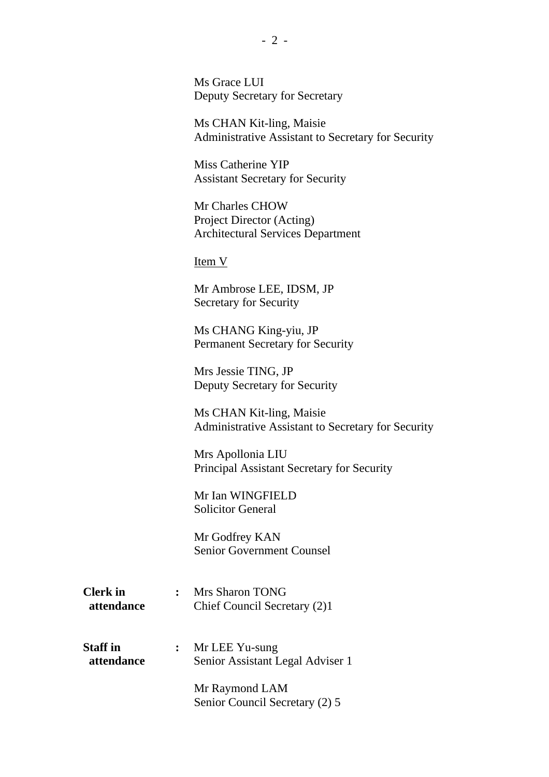Ms Grace LUI Deputy Secretary for Secretary

Ms CHAN Kit-ling, Maisie Administrative Assistant to Secretary for Security

Miss Catherine YIP Assistant Secretary for Security

Mr Charles CHOW Project Director (Acting) Architectural Services Department

Item V

Mr Ambrose LEE, IDSM, JP Secretary for Security

Ms CHANG King-yiu, JP Permanent Secretary for Security

Mrs Jessie TING, JP Deputy Secretary for Security

Ms CHAN Kit-ling, Maisie Administrative Assistant to Secretary for Security

Mrs Apollonia LIU Principal Assistant Secretary for Security

Mr Ian WINGFIELD Solicitor General

Mr Godfrey KAN Senior Government Counsel

**Clerk in :** Mrs Sharon TONG  **attendance** Chief Council Secretary (2)1

**Staff in :** Mr LEE Yu-sung  **attendance** Senior Assistant Legal Adviser 1

> Mr Raymond LAM Senior Council Secretary (2) 5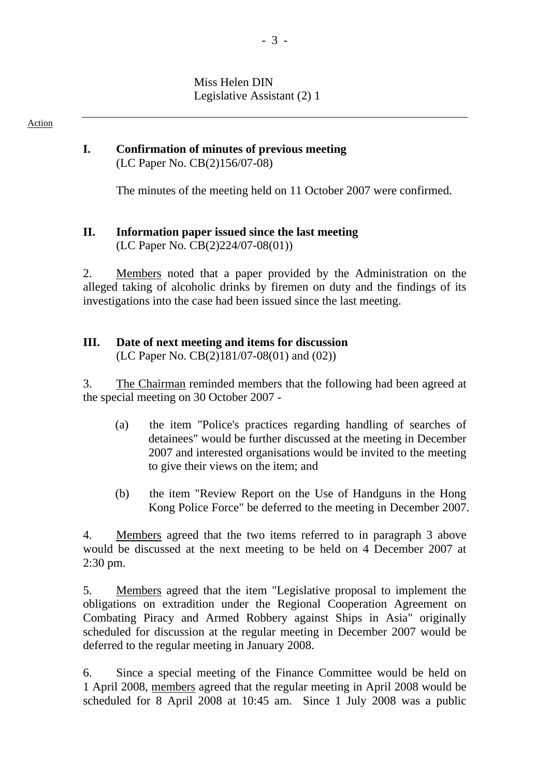Miss Helen DIN Legislative Assistant (2) 1

Action

### **I. Confirmation of minutes of previous meeting**  (LC Paper No. CB(2)156/07-08)

The minutes of the meeting held on 11 October 2007 were confirmed.

### **II. Information paper issued since the last meeting**  (LC Paper No. CB(2)224/07-08(01))

2. Members noted that a paper provided by the Administration on the alleged taking of alcoholic drinks by firemen on duty and the findings of its investigations into the case had been issued since the last meeting.

# **III. Date of next meeting and items for discussion**

(LC Paper No. CB(2)181/07-08(01) and (02))

3. The Chairman reminded members that the following had been agreed at the special meeting on 30 October 2007 -

- (a) the item "Police's practices regarding handling of searches of detainees" would be further discussed at the meeting in December 2007 and interested organisations would be invited to the meeting to give their views on the item; and
- (b) the item "Review Report on the Use of Handguns in the Hong Kong Police Force" be deferred to the meeting in December 2007.

4. Members agreed that the two items referred to in paragraph 3 above would be discussed at the next meeting to be held on 4 December 2007 at 2:30 pm.

5. Members agreed that the item "Legislative proposal to implement the obligations on extradition under the Regional Cooperation Agreement on Combating Piracy and Armed Robbery against Ships in Asia" originally scheduled for discussion at the regular meeting in December 2007 would be deferred to the regular meeting in January 2008.

6. Since a special meeting of the Finance Committee would be held on 1 April 2008, members agreed that the regular meeting in April 2008 would be scheduled for 8 April 2008 at 10:45 am. Since 1 July 2008 was a public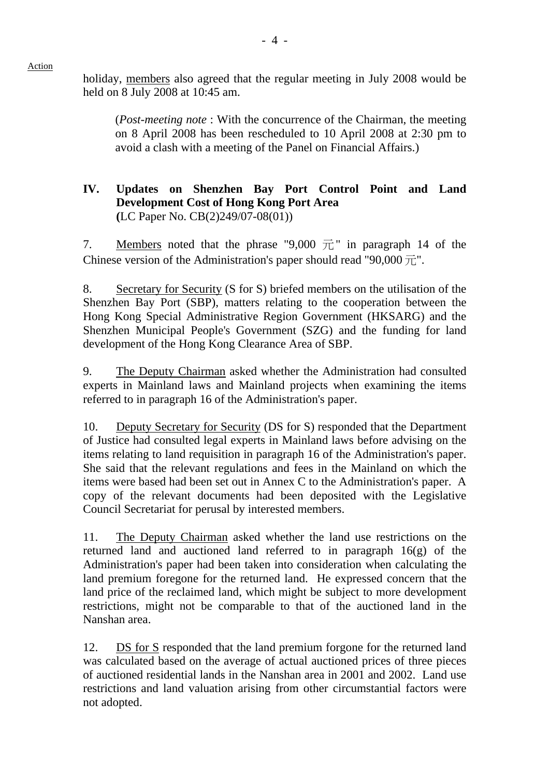holiday, members also agreed that the regular meeting in July 2008 would be held on 8 July 2008 at 10:45 am.

(*Post-meeting note* : With the concurrence of the Chairman, the meeting on 8 April 2008 has been rescheduled to 10 April 2008 at 2:30 pm to avoid a clash with a meeting of the Panel on Financial Affairs.)

### **IV. Updates on Shenzhen Bay Port Control Point and Land Development Cost of Hong Kong Port Area (**LC Paper No. CB(2)249/07-08(01))

7. Members noted that the phrase "9,000  $\overline{\pi}$ " in paragraph 14 of the Chinese version of the Administration's paper should read "90,000  $\overrightarrow{\pi}$ ".

8. Secretary for Security (S for S) briefed members on the utilisation of the Shenzhen Bay Port (SBP), matters relating to the cooperation between the Hong Kong Special Administrative Region Government (HKSARG) and the Shenzhen Municipal People's Government (SZG) and the funding for land development of the Hong Kong Clearance Area of SBP.

9. The Deputy Chairman asked whether the Administration had consulted experts in Mainland laws and Mainland projects when examining the items referred to in paragraph 16 of the Administration's paper.

10. Deputy Secretary for Security (DS for S) responded that the Department of Justice had consulted legal experts in Mainland laws before advising on the items relating to land requisition in paragraph 16 of the Administration's paper. She said that the relevant regulations and fees in the Mainland on which the items were based had been set out in Annex C to the Administration's paper. A copy of the relevant documents had been deposited with the Legislative Council Secretariat for perusal by interested members.

11. The Deputy Chairman asked whether the land use restrictions on the returned land and auctioned land referred to in paragraph 16(g) of the Administration's paper had been taken into consideration when calculating the land premium foregone for the returned land. He expressed concern that the land price of the reclaimed land, which might be subject to more development restrictions, might not be comparable to that of the auctioned land in the Nanshan area.

12. DS for S responded that the land premium forgone for the returned land was calculated based on the average of actual auctioned prices of three pieces of auctioned residential lands in the Nanshan area in 2001 and 2002. Land use restrictions and land valuation arising from other circumstantial factors were not adopted.

Action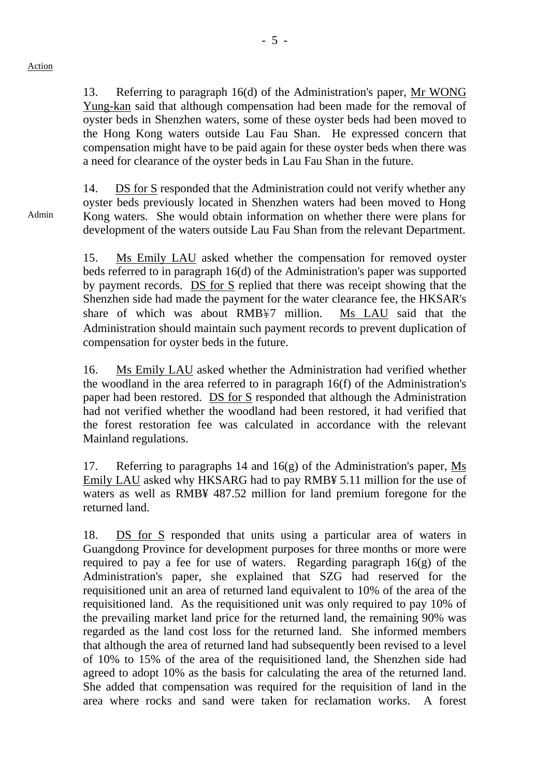13. Referring to paragraph 16(d) of the Administration's paper, Mr WONG Yung-kan said that although compensation had been made for the removal of oyster beds in Shenzhen waters, some of these oyster beds had been moved to the Hong Kong waters outside Lau Fau Shan. He expressed concern that compensation might have to be paid again for these oyster beds when there was a need for clearance of the oyster beds in Lau Fau Shan in the future.

14. DS for S responded that the Administration could not verify whether any oyster beds previously located in Shenzhen waters had been moved to Hong Kong waters. She would obtain information on whether there were plans for development of the waters outside Lau Fau Shan from the relevant Department.

15. Ms Emily LAU asked whether the compensation for removed oyster beds referred to in paragraph 16(d) of the Administration's paper was supported by payment records. DS for S replied that there was receipt showing that the Shenzhen side had made the payment for the water clearance fee, the HKSAR's share of which was about RMB¥7 million. Ms LAU said that the Administration should maintain such payment records to prevent duplication of compensation for oyster beds in the future.

16. Ms Emily LAU asked whether the Administration had verified whether the woodland in the area referred to in paragraph 16(f) of the Administration's paper had been restored. DS for S responded that although the Administration had not verified whether the woodland had been restored, it had verified that the forest restoration fee was calculated in accordance with the relevant Mainland regulations.

17. Referring to paragraphs 14 and 16(g) of the Administration's paper, Ms Emily LAU asked why HKSARG had to pay RMB¥ 5.11 million for the use of waters as well as RMB¥ 487.52 million for land premium foregone for the returned land.

18. DS for S responded that units using a particular area of waters in Guangdong Province for development purposes for three months or more were required to pay a fee for use of waters. Regarding paragraph  $16(g)$  of the Administration's paper, she explained that SZG had reserved for the requisitioned unit an area of returned land equivalent to 10% of the area of the requisitioned land. As the requisitioned unit was only required to pay 10% of the prevailing market land price for the returned land, the remaining 90% was regarded as the land cost loss for the returned land. She informed members that although the area of returned land had subsequently been revised to a level of 10% to 15% of the area of the requisitioned land, the Shenzhen side had agreed to adopt 10% as the basis for calculating the area of the returned land. She added that compensation was required for the requisition of land in the area where rocks and sand were taken for reclamation works. A forest

Admin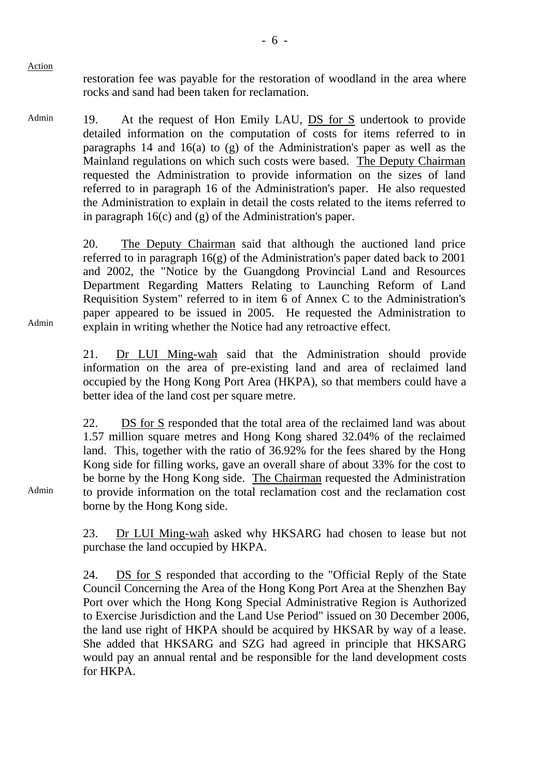Action

restoration fee was payable for the restoration of woodland in the area where rocks and sand had been taken for reclamation.

Admin 19. At the request of Hon Emily LAU, DS for S undertook to provide detailed information on the computation of costs for items referred to in paragraphs 14 and 16(a) to (g) of the Administration's paper as well as the Mainland regulations on which such costs were based. The Deputy Chairman requested the Administration to provide information on the sizes of land referred to in paragraph 16 of the Administration's paper. He also requested the Administration to explain in detail the costs related to the items referred to in paragraph 16(c) and (g) of the Administration's paper.

> 20. The Deputy Chairman said that although the auctioned land price referred to in paragraph 16(g) of the Administration's paper dated back to 2001 and 2002, the "Notice by the Guangdong Provincial Land and Resources Department Regarding Matters Relating to Launching Reform of Land Requisition System" referred to in item 6 of Annex C to the Administration's paper appeared to be issued in 2005. He requested the Administration to explain in writing whether the Notice had any retroactive effect.

21. Dr LUI Ming-wah said that the Administration should provide information on the area of pre-existing land and area of reclaimed land occupied by the Hong Kong Port Area (HKPA), so that members could have a better idea of the land cost per square metre.

22. DS for S responded that the total area of the reclaimed land was about 1.57 million square metres and Hong Kong shared 32.04% of the reclaimed land. This, together with the ratio of 36.92% for the fees shared by the Hong Kong side for filling works, gave an overall share of about 33% for the cost to be borne by the Hong Kong side. The Chairman requested the Administration to provide information on the total reclamation cost and the reclamation cost borne by the Hong Kong side.

23. Dr LUI Ming-wah asked why HKSARG had chosen to lease but not purchase the land occupied by HKPA.

24. DS for S responded that according to the "Official Reply of the State Council Concerning the Area of the Hong Kong Port Area at the Shenzhen Bay Port over which the Hong Kong Special Administrative Region is Authorized to Exercise Jurisdiction and the Land Use Period" issued on 30 December 2006, the land use right of HKPA should be acquired by HKSAR by way of a lease. She added that HKSARG and SZG had agreed in principle that HKSARG would pay an annual rental and be responsible for the land development costs for HKPA.

Admin

Admin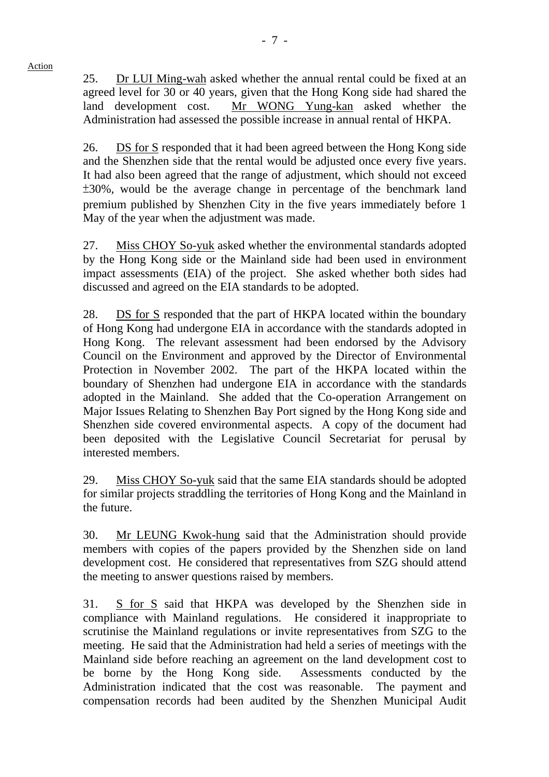25. Dr LUI Ming-wah asked whether the annual rental could be fixed at an agreed level for 30 or 40 years, given that the Hong Kong side had shared the land development cost. Mr WONG Yung-kan asked whether the Administration had assessed the possible increase in annual rental of HKPA.

26. DS for S responded that it had been agreed between the Hong Kong side and the Shenzhen side that the rental would be adjusted once every five years. It had also been agreed that the range of adjustment, which should not exceed ±30%, would be the average change in percentage of the benchmark land premium published by Shenzhen City in the five years immediately before 1 May of the year when the adjustment was made.

27. Miss CHOY So-yuk asked whether the environmental standards adopted by the Hong Kong side or the Mainland side had been used in environment impact assessments (EIA) of the project. She asked whether both sides had discussed and agreed on the EIA standards to be adopted.

28. DS for S responded that the part of HKPA located within the boundary of Hong Kong had undergone EIA in accordance with the standards adopted in Hong Kong. The relevant assessment had been endorsed by the Advisory Council on the Environment and approved by the Director of Environmental Protection in November 2002. The part of the HKPA located within the boundary of Shenzhen had undergone EIA in accordance with the standards adopted in the Mainland. She added that the Co-operation Arrangement on Major Issues Relating to Shenzhen Bay Port signed by the Hong Kong side and Shenzhen side covered environmental aspects. A copy of the document had been deposited with the Legislative Council Secretariat for perusal by interested members.

29. Miss CHOY So-yuk said that the same EIA standards should be adopted for similar projects straddling the territories of Hong Kong and the Mainland in the future.

30. Mr LEUNG Kwok-hung said that the Administration should provide members with copies of the papers provided by the Shenzhen side on land development cost. He considered that representatives from SZG should attend the meeting to answer questions raised by members.

31. S for S said that HKPA was developed by the Shenzhen side in compliance with Mainland regulations. He considered it inappropriate to scrutinise the Mainland regulations or invite representatives from SZG to the meeting. He said that the Administration had held a series of meetings with the Mainland side before reaching an agreement on the land development cost to be borne by the Hong Kong side. Assessments conducted by the Administration indicated that the cost was reasonable. The payment and compensation records had been audited by the Shenzhen Municipal Audit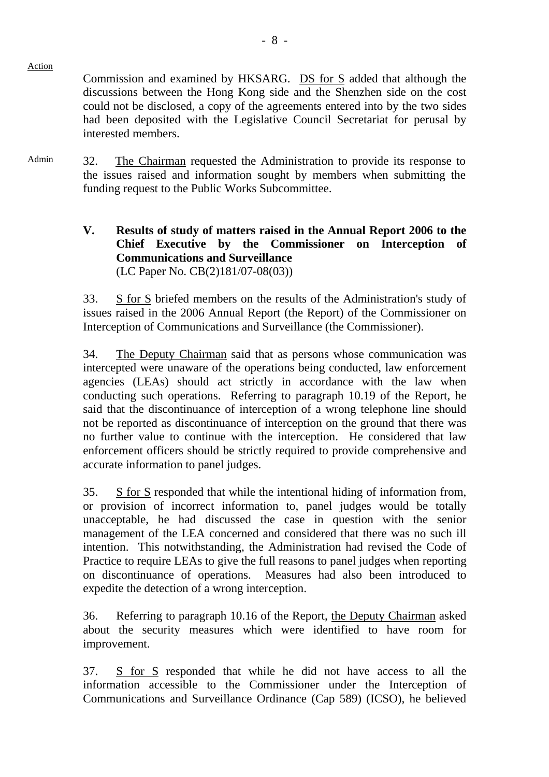Commission and examined by HKSARG. DS for S added that although the discussions between the Hong Kong side and the Shenzhen side on the cost could not be disclosed, a copy of the agreements entered into by the two sides had been deposited with the Legislative Council Secretariat for perusal by

Admin 32. The Chairman requested the Administration to provide its response to the issues raised and information sought by members when submitting the funding request to the Public Works Subcommittee.

Action

interested members.

### **V. Results of study of matters raised in the Annual Report 2006 to the Chief Executive by the Commissioner on Interception of Communications and Surveillance**  (LC Paper No. CB(2)181/07-08(03))

33. S for S briefed members on the results of the Administration's study of issues raised in the 2006 Annual Report (the Report) of the Commissioner on Interception of Communications and Surveillance (the Commissioner).

34. The Deputy Chairman said that as persons whose communication was intercepted were unaware of the operations being conducted, law enforcement agencies (LEAs) should act strictly in accordance with the law when conducting such operations. Referring to paragraph 10.19 of the Report, he said that the discontinuance of interception of a wrong telephone line should not be reported as discontinuance of interception on the ground that there was no further value to continue with the interception. He considered that law enforcement officers should be strictly required to provide comprehensive and accurate information to panel judges.

35. S for S responded that while the intentional hiding of information from, or provision of incorrect information to, panel judges would be totally unacceptable, he had discussed the case in question with the senior management of the LEA concerned and considered that there was no such ill intention. This notwithstanding, the Administration had revised the Code of Practice to require LEAs to give the full reasons to panel judges when reporting on discontinuance of operations. Measures had also been introduced to expedite the detection of a wrong interception.

36. Referring to paragraph 10.16 of the Report, the Deputy Chairman asked about the security measures which were identified to have room for improvement.

37. S for S responded that while he did not have access to all the information accessible to the Commissioner under the Interception of Communications and Surveillance Ordinance (Cap 589) (ICSO), he believed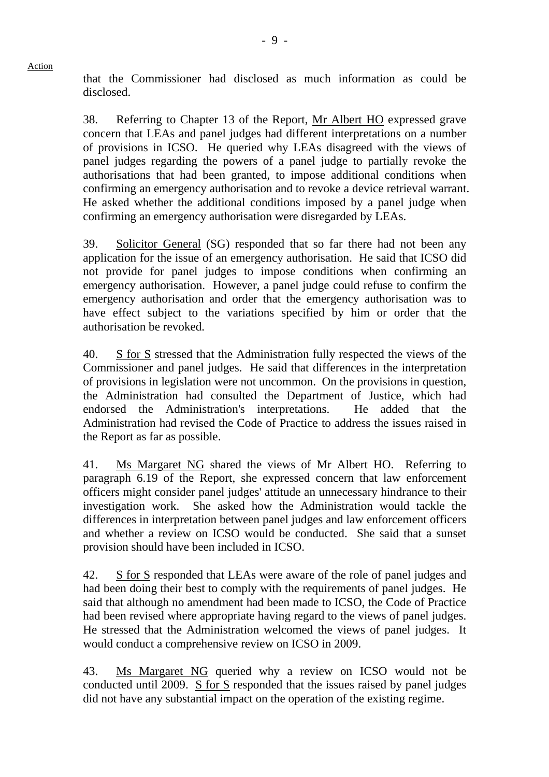Action

that the Commissioner had disclosed as much information as could be disclosed.

38. Referring to Chapter 13 of the Report, Mr Albert HO expressed grave concern that LEAs and panel judges had different interpretations on a number of provisions in ICSO. He queried why LEAs disagreed with the views of panel judges regarding the powers of a panel judge to partially revoke the authorisations that had been granted, to impose additional conditions when confirming an emergency authorisation and to revoke a device retrieval warrant. He asked whether the additional conditions imposed by a panel judge when confirming an emergency authorisation were disregarded by LEAs.

39. Solicitor General (SG) responded that so far there had not been any application for the issue of an emergency authorisation. He said that ICSO did not provide for panel judges to impose conditions when confirming an emergency authorisation. However, a panel judge could refuse to confirm the emergency authorisation and order that the emergency authorisation was to have effect subject to the variations specified by him or order that the authorisation be revoked.

40. S for S stressed that the Administration fully respected the views of the Commissioner and panel judges. He said that differences in the interpretation of provisions in legislation were not uncommon. On the provisions in question, the Administration had consulted the Department of Justice, which had endorsed the Administration's interpretations. He added that the Administration had revised the Code of Practice to address the issues raised in the Report as far as possible.

41. Ms Margaret NG shared the views of Mr Albert HO. Referring to paragraph 6.19 of the Report, she expressed concern that law enforcement officers might consider panel judges' attitude an unnecessary hindrance to their investigation work. She asked how the Administration would tackle the differences in interpretation between panel judges and law enforcement officers and whether a review on ICSO would be conducted. She said that a sunset provision should have been included in ICSO.

42. S for S responded that LEAs were aware of the role of panel judges and had been doing their best to comply with the requirements of panel judges. He said that although no amendment had been made to ICSO, the Code of Practice had been revised where appropriate having regard to the views of panel judges. He stressed that the Administration welcomed the views of panel judges. It would conduct a comprehensive review on ICSO in 2009.

43. Ms Margaret NG queried why a review on ICSO would not be conducted until 2009. S for S responded that the issues raised by panel judges did not have any substantial impact on the operation of the existing regime.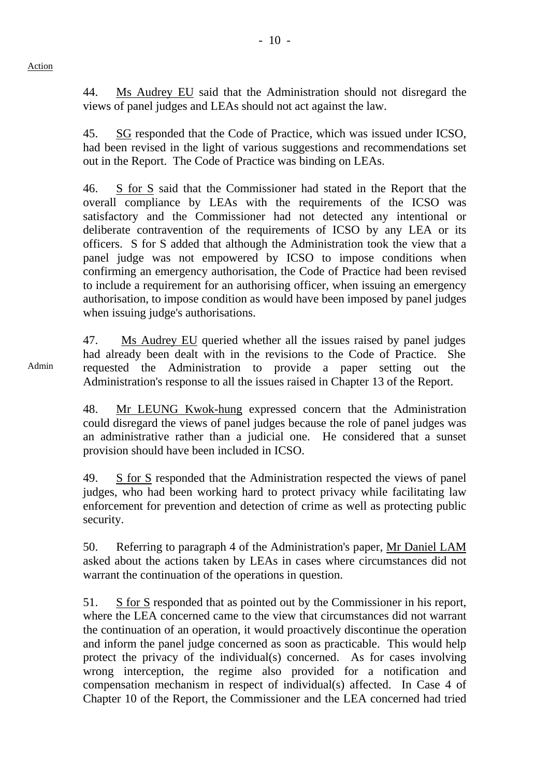44. Ms Audrey EU said that the Administration should not disregard the views of panel judges and LEAs should not act against the law.

45. SG responded that the Code of Practice, which was issued under ICSO, had been revised in the light of various suggestions and recommendations set out in the Report. The Code of Practice was binding on LEAs.

46. S for S said that the Commissioner had stated in the Report that the overall compliance by LEAs with the requirements of the ICSO was satisfactory and the Commissioner had not detected any intentional or deliberate contravention of the requirements of ICSO by any LEA or its officers. S for S added that although the Administration took the view that a panel judge was not empowered by ICSO to impose conditions when confirming an emergency authorisation, the Code of Practice had been revised to include a requirement for an authorising officer, when issuing an emergency authorisation, to impose condition as would have been imposed by panel judges when issuing judge's authorisations.

47. Ms Audrey EU queried whether all the issues raised by panel judges had already been dealt with in the revisions to the Code of Practice. She requested the Administration to provide a paper setting out the Administration's response to all the issues raised in Chapter 13 of the Report.

48. Mr LEUNG Kwok-hung expressed concern that the Administration could disregard the views of panel judges because the role of panel judges was an administrative rather than a judicial one. He considered that a sunset provision should have been included in ICSO.

49. S for S responded that the Administration respected the views of panel judges, who had been working hard to protect privacy while facilitating law enforcement for prevention and detection of crime as well as protecting public security.

50. Referring to paragraph 4 of the Administration's paper, Mr Daniel LAM asked about the actions taken by LEAs in cases where circumstances did not warrant the continuation of the operations in question.

51. S for S responded that as pointed out by the Commissioner in his report, where the LEA concerned came to the view that circumstances did not warrant the continuation of an operation, it would proactively discontinue the operation and inform the panel judge concerned as soon as practicable. This would help protect the privacy of the individual(s) concerned. As for cases involving wrong interception, the regime also provided for a notification and compensation mechanism in respect of individual(s) affected. In Case 4 of Chapter 10 of the Report, the Commissioner and the LEA concerned had tried

Admin